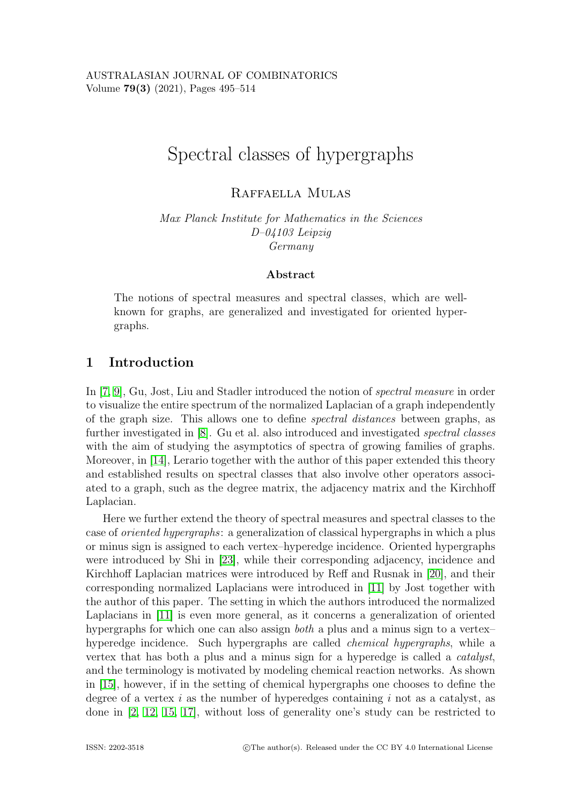# Spectral classes of hypergraphs

Raffaella Mulas

Max Planck Institute for Mathematics in the Sciences D–04103 Leipzig Germany

#### Abstract

The notions of spectral measures and spectral classes, which are wellknown for graphs, are generalized and investigated for oriented hypergraphs.

# 1 Introduction

In [\[7,](#page-18-0) [9\]](#page-18-1), Gu, Jost, Liu and Stadler introduced the notion of spectral measure in order to visualize the entire spectrum of the normalized Laplacian of a graph independently of the graph size. This allows one to define spectral distances between graphs, as further investigated in [\[8\]](#page-18-2). Gu et al. also introduced and investigated spectral classes with the aim of studying the asymptotics of spectra of growing families of graphs. Moreover, in [\[14\]](#page-18-3), Lerario together with the author of this paper extended this theory and established results on spectral classes that also involve other operators associated to a graph, such as the degree matrix, the adjacency matrix and the Kirchhoff Laplacian.

Here we further extend the theory of spectral measures and spectral classes to the case of oriented hypergraphs: a generalization of classical hypergraphs in which a plus or minus sign is assigned to each vertex–hyperedge incidence. Oriented hypergraphs were introduced by Shi in [\[23\]](#page-19-0), while their corresponding adjacency, incidence and Kirchhoff Laplacian matrices were introduced by Reff and Rusnak in [\[20\]](#page-19-1), and their corresponding normalized Laplacians were introduced in [\[11\]](#page-18-4) by Jost together with the author of this paper. The setting in which the authors introduced the normalized Laplacians in [\[11\]](#page-18-4) is even more general, as it concerns a generalization of oriented hypergraphs for which one can also assign *both* a plus and a minus sign to a vertex– hyperedge incidence. Such hypergraphs are called chemical hypergraphs, while a vertex that has both a plus and a minus sign for a hyperedge is called a catalyst, and the terminology is motivated by modeling chemical reaction networks. As shown in [\[15\]](#page-18-5), however, if in the setting of chemical hypergraphs one chooses to define the degree of a vertex  $i$  as the number of hyperedges containing  $i$  not as a catalyst, as done in [\[2,](#page-18-6) [12,](#page-18-7) [15,](#page-18-5) [17\]](#page-19-2), without loss of generality one's study can be restricted to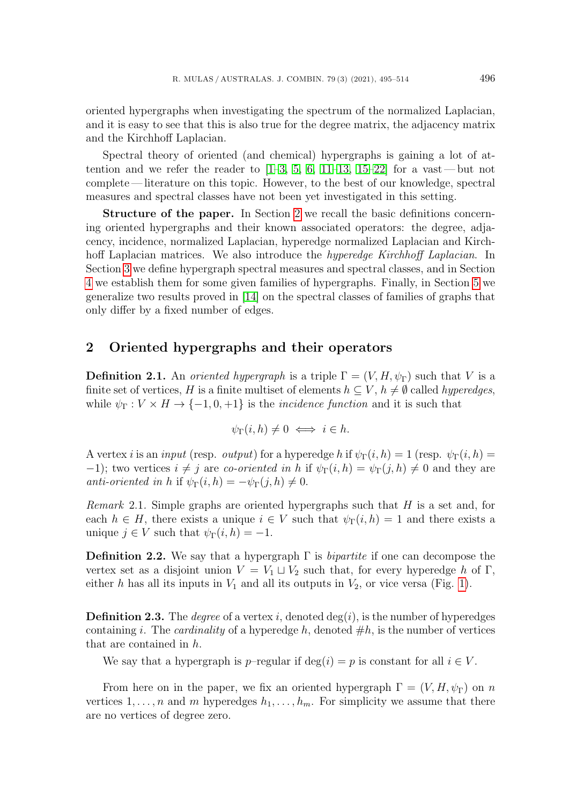oriented hypergraphs when investigating the spectrum of the normalized Laplacian, and it is easy to see that this is also true for the degree matrix, the adjacency matrix and the Kirchhoff Laplacian.

Spectral theory of oriented (and chemical) hypergraphs is gaining a lot of attention and we refer the reader to  $[1-3, 5, 6, 11-13, 15-22]$  $[1-3, 5, 6, 11-13, 15-22]$  $[1-3, 5, 6, 11-13, 15-22]$  $[1-3, 5, 6, 11-13, 15-22]$  $[1-3, 5, 6, 11-13, 15-22]$  $[1-3, 5, 6, 11-13, 15-22]$  $[1-3, 5, 6, 11-13, 15-22]$  $[1-3, 5, 6, 11-13, 15-22]$  for a vast—but not complete— literature on this topic. However, to the best of our knowledge, spectral measures and spectral classes have not been yet investigated in this setting.

Structure of the paper. In Section [2](#page-1-0) we recall the basic definitions concerning oriented hypergraphs and their known associated operators: the degree, adjacency, incidence, normalized Laplacian, hyperedge normalized Laplacian and Kirchhoff Laplacian matrices. We also introduce the *hyperedge Kirchhoff Laplacian*. In Section [3](#page-3-0) we define hypergraph spectral measures and spectral classes, and in Section [4](#page-4-0) we establish them for some given families of hypergraphs. Finally, in Section [5](#page-11-0) we generalize two results proved in [\[14\]](#page-18-3) on the spectral classes of families of graphs that only differ by a fixed number of edges.

## <span id="page-1-0"></span>2 Oriented hypergraphs and their operators

**Definition 2.1.** An *oriented hypergraph* is a triple  $\Gamma = (V, H, \psi_{\Gamma})$  such that V is a finite set of vertices, H is a finite multiset of elements  $h \subseteq V$ ,  $h \neq \emptyset$  called *hyperedges*, while  $\psi_{\Gamma}: V \times H \to \{-1, 0, +1\}$  is the *incidence function* and it is such that

$$
\psi_{\Gamma}(i,h) \neq 0 \iff i \in h.
$$

A vertex i is an input (resp. output) for a hyperedge h if  $\psi_{\Gamma}(i, h) = 1$  (resp.  $\psi_{\Gamma}(i, h) =$ −1); two vertices  $i \neq j$  are *co-oriented in* h if  $\psi_{\Gamma}(i, h) = \psi_{\Gamma}(j, h) \neq 0$  and they are anti-oriented in h if  $\psi_{\Gamma}(i, h) = -\psi_{\Gamma}(i, h) \neq 0$ .

<span id="page-1-1"></span>*Remark* 2.1. Simple graphs are oriented hypergraphs such that  $H$  is a set and, for each  $h \in H$ , there exists a unique  $i \in V$  such that  $\psi_{\Gamma}(i, h) = 1$  and there exists a unique  $j \in V$  such that  $\psi_{\Gamma}(i, h) = -1$ .

**Definition 2.2.** We say that a hypergraph  $\Gamma$  is *bipartite* if one can decompose the vertex set as a disjoint union  $V = V_1 \sqcup V_2$  such that, for every hyperedge h of Γ, either h has all its inputs in  $V_1$  and all its outputs in  $V_2$ , or vice versa (Fig. [1\)](#page-2-0).

**Definition 2.3.** The *degree* of a vertex i, denoted  $deg(i)$ , is the number of hyperedges containing i. The *cardinality* of a hyperedge h, denoted  $\#h$ , is the number of vertices that are contained in h.

We say that a hypergraph is p–regular if deg(i) = p is constant for all  $i \in V$ .

From here on in the paper, we fix an oriented hypergraph  $\Gamma = (V, H, \psi_{\Gamma})$  on n vertices  $1, \ldots, n$  and m hyperedges  $h_1, \ldots, h_m$ . For simplicity we assume that there are no vertices of degree zero.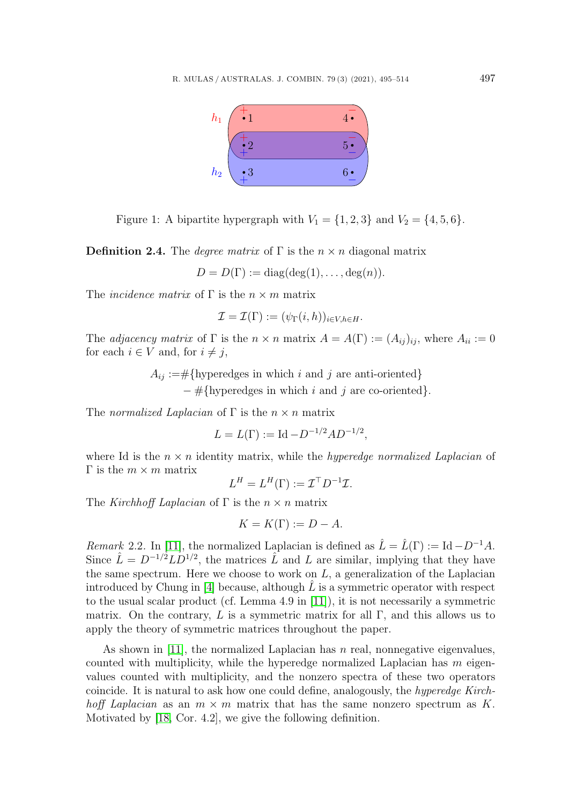

<span id="page-2-0"></span>Figure 1: A bipartite hypergraph with  $V_1 = \{1, 2, 3\}$  and  $V_2 = \{4, 5, 6\}.$ 

**Definition 2.4.** The *degree matrix* of  $\Gamma$  is the  $n \times n$  diagonal matrix

$$
D = D(\Gamma) := diag(deg(1), \ldots, deg(n)).
$$

The *incidence matrix* of  $\Gamma$  is the  $n \times m$  matrix

$$
\mathcal{I} = \mathcal{I}(\Gamma) := (\psi_{\Gamma}(i,h))_{i \in V, h \in H}.
$$

The adjacency matrix of  $\Gamma$  is the  $n \times n$  matrix  $A = A(\Gamma) := (A_{ij})_{ij}$ , where  $A_{ii} := 0$ for each  $i \in V$  and, for  $i \neq j$ ,

> $A_{ij} := \# {\text{hyperedges in which } i \text{ and } j \text{ are anti-oriented}}$  $-\#$ {hyperedges in which i and j are co-oriented}.

The normalized Laplacian of  $\Gamma$  is the  $n \times n$  matrix

$$
L = L(\Gamma) := \mathrm{Id} - D^{-1/2} A D^{-1/2},
$$

where Id is the  $n \times n$  identity matrix, while the *hyperedge normalized Laplacian* of  $Γ$  is the  $m \times m$  matrix

$$
L^H = L^H(\Gamma) := \mathcal{I}^\top D^{-1} \mathcal{I}.
$$

The Kirchhoff Laplacian of  $\Gamma$  is the  $n \times n$  matrix

$$
K = K(\Gamma) := D - A.
$$

Remark 2.2. In [\[11\]](#page-18-4), the normalized Laplacian is defined as  $\hat{L} = \hat{L}(\Gamma) := Id - D^{-1}A$ . Since  $\hat{L} = D^{-1/2} L D^{1/2}$ , the matrices  $\hat{L}$  and L are similar, implying that they have the same spectrum. Here we choose to work on  $L$ , a generalization of the Laplacian introduced by Chung in  $[4]$  because, although L is a symmetric operator with respect to the usual scalar product (cf. Lemma 4.9 in [\[11\]](#page-18-4)), it is not necessarily a symmetric matrix. On the contrary, L is a symmetric matrix for all  $\Gamma$ , and this allows us to apply the theory of symmetric matrices throughout the paper.

As shown in [\[11\]](#page-18-4), the normalized Laplacian has  $n$  real, nonnegative eigenvalues, counted with multiplicity, while the hyperedge normalized Laplacian has  $m$  eigenvalues counted with multiplicity, and the nonzero spectra of these two operators coincide. It is natural to ask how one could define, analogously, the hyperedge Kirchhoff Laplacian as an  $m \times m$  matrix that has the same nonzero spectrum as K. Motivated by [\[18,](#page-19-4) Cor. 4.2], we give the following definition.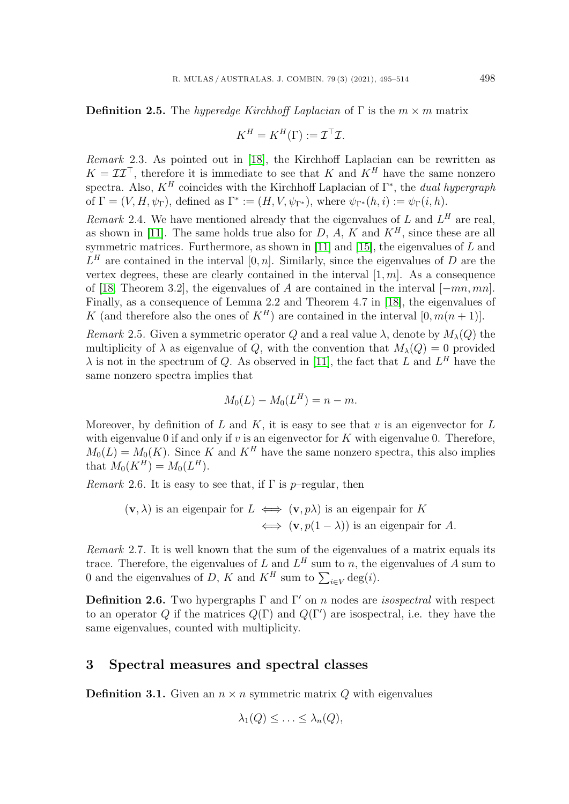**Definition 2.5.** The hyperedge Kirchhoff Laplacian of  $\Gamma$  is the  $m \times m$  matrix

$$
K^H = K^H(\Gamma) := \mathcal{I}^\top \mathcal{I}.
$$

Remark 2.3. As pointed out in [\[18\]](#page-19-4), the Kirchhoff Laplacian can be rewritten as  $K = \mathcal{II}^{\top}$ , therefore it is immediate to see that K and  $K^H$  have the same nonzero spectra. Also,  $K^H$  coincides with the Kirchhoff Laplacian of  $\Gamma^*$ , the *dual hypergraph* of  $\Gamma = (V, H, \psi_{\Gamma})$ , defined as  $\Gamma^* := (H, V, \psi_{\Gamma^*})$ , where  $\psi_{\Gamma^*}(h, i) := \psi_{\Gamma}(i, h)$ .

<span id="page-3-1"></span>Remark 2.4. We have mentioned already that the eigenvalues of L and  $L^H$  are real, as shown in [\[11\]](#page-18-4). The same holds true also for  $D$ ,  $A$ ,  $K$  and  $K<sup>H</sup>$ , since these are all symmetric matrices. Furthermore, as shown in [\[11\]](#page-18-4) and [\[15\]](#page-18-5), the eigenvalues of  $L$  and  $L^H$  are contained in the interval [0, n]. Similarly, since the eigenvalues of D are the vertex degrees, these are clearly contained in the interval  $[1, m]$ . As a consequence of [\[18,](#page-19-4) Theorem 3.2], the eigenvalues of A are contained in the interval  $[-mn, mn]$ . Finally, as a consequence of Lemma 2.2 and Theorem 4.7 in [\[18\]](#page-19-4), the eigenvalues of K (and therefore also the ones of  $K^H$ ) are contained in the interval  $[0, m(n+1)]$ .

<span id="page-3-3"></span>Remark 2.5. Given a symmetric operator Q and a real value  $\lambda$ , denote by  $M_{\lambda}(Q)$  the multiplicity of  $\lambda$  as eigenvalue of Q, with the convention that  $M_{\lambda}(Q) = 0$  provided  $\lambda$  is not in the spectrum of Q. As observed in [\[11\]](#page-18-4), the fact that L and  $L^H$  have the same nonzero spectra implies that

$$
M_0(L) - M_0(L^H) = n - m.
$$

Moreover, by definition of  $L$  and  $K$ , it is easy to see that  $v$  is an eigenvector for  $L$ with eigenvalue 0 if and only if  $v$  is an eigenvector for  $K$  with eigenvalue 0. Therefore,  $M_0(L) = M_0(K)$ . Since K and  $K^H$  have the same nonzero spectra, this also implies that  $M_0(K^H) = M_0(L^H)$ .

<span id="page-3-2"></span>Remark 2.6. It is easy to see that, if  $\Gamma$  is p–regular, then

$$
(\mathbf{v}, \lambda)
$$
 is an eigenpair for  $L \iff (\mathbf{v}, p\lambda)$  is an eigenpair for  $K \iff (\mathbf{v}, p(1-\lambda))$  is an eigenpair for A.

<span id="page-3-4"></span>Remark 2.7. It is well known that the sum of the eigenvalues of a matrix equals its trace. Therefore, the eigenvalues of L and  $L^H$  sum to n, the eigenvalues of A sum to 0 and the eigenvalues of D, K and  $K^H$  sum to  $\sum_{i\in V} \deg(i)$ .

**Definition 2.6.** Two hypergraphs  $\Gamma$  and  $\Gamma'$  on n nodes are *isospectral* with respect to an operator Q if the matrices  $Q(\Gamma)$  and  $Q(\Gamma')$  are isospectral, i.e. they have the same eigenvalues, counted with multiplicity.

## <span id="page-3-0"></span>3 Spectral measures and spectral classes

**Definition 3.1.** Given an  $n \times n$  symmetric matrix Q with eigenvalues

$$
\lambda_1(Q) \leq \ldots \leq \lambda_n(Q),
$$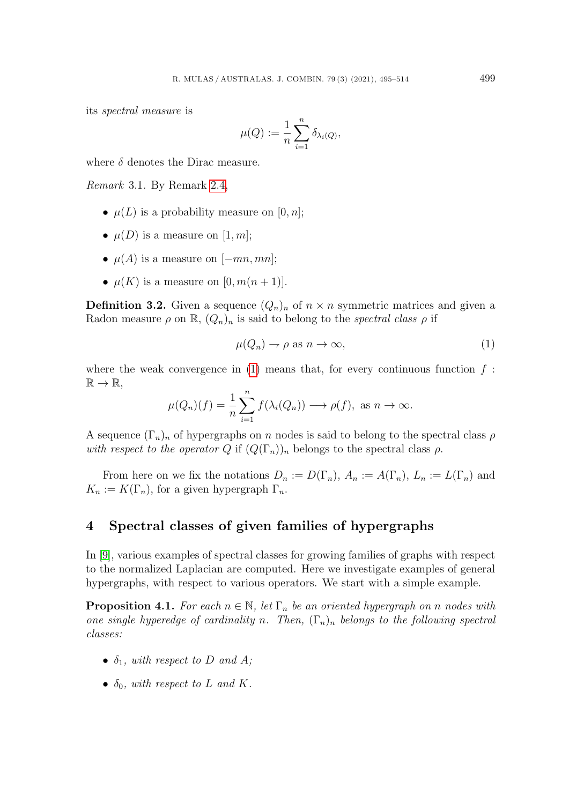its spectral measure is

$$
\mu(Q) := \frac{1}{n} \sum_{i=1}^n \delta_{\lambda_i(Q)},
$$

where  $\delta$  denotes the Dirac measure.

Remark 3.1. By Remark [2.4,](#page-3-1)

- $\mu(L)$  is a probability measure on [0, *n*];
- $\mu(D)$  is a measure on [1, m];
- $\mu(A)$  is a measure on  $[-mn, mn]$ ;
- $\mu(K)$  is a measure on  $[0, m(n+1)].$

**Definition 3.2.** Given a sequence  $(Q_n)_n$  of  $n \times n$  symmetric matrices and given a Radon measure  $\rho$  on  $\mathbb{R}$ ,  $(Q_n)_n$  is said to belong to the spectral class  $\rho$  if

<span id="page-4-1"></span>
$$
\mu(Q_n) \to \rho \text{ as } n \to \infty,
$$
\n(1)

where the weak convergence in  $(1)$  means that, for every continuous function f:  $\mathbb{R} \to \mathbb{R}$ ,

$$
\mu(Q_n)(f) = \frac{1}{n} \sum_{i=1}^n f(\lambda_i(Q_n)) \longrightarrow \rho(f), \text{ as } n \to \infty.
$$

A sequence  $(\Gamma_n)_n$  of hypergraphs on n nodes is said to belong to the spectral class  $\rho$ with respect to the operator Q if  $(Q(\Gamma_n))_n$  belongs to the spectral class  $\rho$ .

From here on we fix the notations  $D_n := D(\Gamma_n)$ ,  $A_n := A(\Gamma_n)$ ,  $L_n := L(\Gamma_n)$  and  $K_n := K(\Gamma_n)$ , for a given hypergraph  $\Gamma_n$ .

## <span id="page-4-0"></span>4 Spectral classes of given families of hypergraphs

In [\[9\]](#page-18-1), various examples of spectral classes for growing families of graphs with respect to the normalized Laplacian are computed. Here we investigate examples of general hypergraphs, with respect to various operators. We start with a simple example.

<span id="page-4-2"></span>**Proposition 4.1.** For each  $n \in \mathbb{N}$ , let  $\Gamma_n$  be an oriented hypergraph on n nodes with one single hyperedge of cardinality n. Then,  $(\Gamma_n)_n$  belongs to the following spectral classes:

- $\delta_1$ , with respect to D and A;
- $\delta_0$ , with respect to L and K.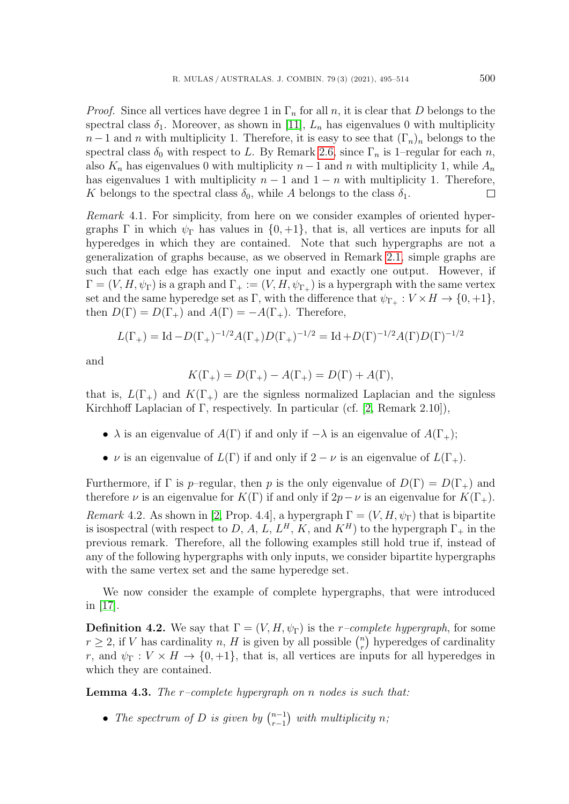*Proof.* Since all vertices have degree 1 in  $\Gamma_n$  for all n, it is clear that D belongs to the spectral class  $\delta_1$ . Moreover, as shown in [\[11\]](#page-18-4),  $L_n$  has eigenvalues 0 with multiplicity  $n-1$  and n with multiplicity 1. Therefore, it is easy to see that  $(\Gamma_n)_n$  belongs to the spectral class  $\delta_0$  with respect to L. By Remark [2.6,](#page-3-2) since  $\Gamma_n$  is 1–regular for each n, also  $K_n$  has eigenvalues 0 with multiplicity  $n-1$  and n with multiplicity 1, while  $A_n$ has eigenvalues 1 with multiplicity  $n-1$  and  $1-n$  with multiplicity 1. Therefore, K belongs to the spectral class  $\delta_0$ , while A belongs to the class  $\delta_1$ .  $\Box$ 

<span id="page-5-1"></span>Remark 4.1. For simplicity, from here on we consider examples of oriented hypergraphs Γ in which  $\psi_{\Gamma}$  has values in  $\{0, +1\}$ , that is, all vertices are inputs for all hyperedges in which they are contained. Note that such hypergraphs are not a generalization of graphs because, as we observed in Remark [2.1,](#page-1-1) simple graphs are such that each edge has exactly one input and exactly one output. However, if  $\Gamma = (V, H, \psi_{\Gamma})$  is a graph and  $\Gamma_+ := (V, H, \psi_{\Gamma_+})$  is a hypergraph with the same vertex set and the same hyperedge set as Γ, with the difference that  $\psi_{\Gamma_+}: V \times H \to \{0, +1\},$ then  $D(\Gamma) = D(\Gamma_+)$  and  $A(\Gamma) = -A(\Gamma_+)$ . Therefore,

$$
L(\Gamma_+) = \text{Id} - D(\Gamma_+)^{-1/2} A(\Gamma_+) D(\Gamma_+)^{-1/2} = \text{Id} + D(\Gamma)^{-1/2} A(\Gamma) D(\Gamma)^{-1/2}
$$

and

$$
K(\Gamma_+) = D(\Gamma_+) - A(\Gamma_+) = D(\Gamma) + A(\Gamma),
$$

that is,  $L(\Gamma_+)$  and  $K(\Gamma_+)$  are the signless normalized Laplacian and the signless Kirchhoff Laplacian of Γ, respectively. In particular (cf. [\[2,](#page-18-6) Remark 2.10]),

- $\lambda$  is an eigenvalue of  $A(\Gamma)$  if and only if  $-\lambda$  is an eigenvalue of  $A(\Gamma_+);$
- $\nu$  is an eigenvalue of  $L(\Gamma)$  if and only if  $2 \nu$  is an eigenvalue of  $L(\Gamma_+)$ .

Furthermore, if  $\Gamma$  is p–regular, then p is the only eigenvalue of  $D(\Gamma) = D(\Gamma_+)$  and therefore  $\nu$  is an eigenvalue for  $K(\Gamma)$  if and only if  $2p-\nu$  is an eigenvalue for  $K(\Gamma_+)$ .

Remark 4.2. As shown in [\[2,](#page-18-6) Prop. 4.4], a hypergraph  $\Gamma = (V, H, \psi_{\Gamma})$  that is bipartite is isospectral (with respect to D, A, L,  $L^H$ , K, and  $K^H$ ) to the hypergraph  $\Gamma_+$  in the previous remark. Therefore, all the following examples still hold true if, instead of any of the following hypergraphs with only inputs, we consider bipartite hypergraphs with the same vertex set and the same hyperedge set.

We now consider the example of complete hypergraphs, that were introduced in [\[17\]](#page-19-2).

<span id="page-5-2"></span>**Definition 4.2.** We say that  $\Gamma = (V, H, \psi_{\Gamma})$  is the *r*-complete hypergraph, for some  $r \geq 2$ , if V has cardinality n, H is given by all possible  $\binom{n}{r}$  $\binom{n}{r}$  hyperedges of cardinality r, and  $\psi_{\Gamma}: V \times H \to \{0, +1\}$ , that is, all vertices are inputs for all hyperedges in which they are contained.

<span id="page-5-0"></span>**Lemma 4.3.** The  $r$ -complete hypergraph on n nodes is such that:

• The spectrum of D is given by  $\binom{n-1}{r-1}$  $_{r-1}^{n-1}$ ) with multiplicity n;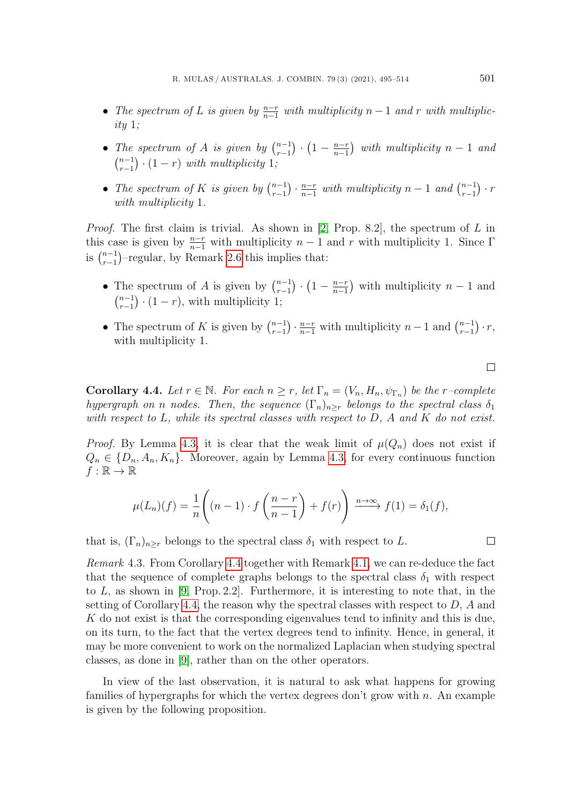- The spectrum of L is given by  $\frac{n-r}{n-1}$  with multiplicity  $n-1$  and r with multiplic $ity 1;$
- The spectrum of A is given by  $\binom{n-1}{r-1}$  $\binom{n-1}{r-1} \cdot \left(1 - \frac{n-r}{n-1}\right)$  $\frac{n-r}{n-1}$ ) with multiplicity  $n-1$  and  $\binom{n-1}{n-1}$  $\binom{n-1}{r-1} \cdot (1-r)$  with multiplicity 1;
- The spectrum of K is given by  $\binom{n-1}{r-1}$  $\binom{n-1}{r-1} \cdot \frac{n-r}{n-1}$  $\frac{n-r}{n-1}$  with multiplicity  $n-1$  and  $\binom{n-1}{r-1}$  $_{r-1}^{n-1})\cdot r$ with multiplicity 1.

*Proof.* The first claim is trivial. As shown in [\[2,](#page-18-6) Prop. 8.2], the spectrum of  $L$  in this case is given by  $\frac{n-r}{n-1}$  with multiplicity n – 1 and r with multiplicity 1. Since  $\Gamma$ is  $\binom{n-1}{r-1}$  $_{r-1}^{n-1}$ )-regular, by Remark [2.6](#page-3-2) this implies that:

- The spectrum of A is given by  $\binom{n-1}{r-1}$  $_{r-1}^{n-1}\bigr)\cdot\bigl(1-\tfrac{n-r}{n-1}$  $\frac{n-r}{n-1}$ ) with multiplicity  $n-1$  and  $\binom{n-1}{n-1}$  $\binom{n-1}{r-1} \cdot (1-r)$ , with multiplicity 1;
- The spectrum of K is given by  $\binom{n-1}{r-1}$  ${n-1 \choose r-1} \cdot \frac{n-r}{n-1}$  with multiplicity  $n-1$  and  $\binom{n-1}{r-1}$  $_{r-1}^{n-1})\cdot r,$ with multiplicity 1.

<span id="page-6-0"></span>**Corollary 4.4.** Let  $r \in \mathbb{N}$ . For each  $n \geq r$ , let  $\Gamma_n = (V_n, H_n, \psi_{\Gamma_n})$  be the r-complete hypergraph on n nodes. Then, the sequence  $(\Gamma_n)_{n\geq r}$  belongs to the spectral class  $\delta_1$ with respect to  $L$ , while its spectral classes with respect to  $D$ ,  $A$  and  $K$  do not exist.

*Proof.* By Lemma [4.3,](#page-5-0) it is clear that the weak limit of  $\mu(Q_n)$  does not exist if  $Q_n \in \{D_n, A_n, K_n\}$ . Moreover, again by Lemma [4.3,](#page-5-0) for every continuous function  $f : \mathbb{R} \to \mathbb{R}$ 

$$
\mu(L_n)(f) = \frac{1}{n} \left( (n-1) \cdot f\left(\frac{n-r}{n-1}\right) + f(r) \right) \xrightarrow{n \to \infty} f(1) = \delta_1(f),
$$

that is,  $(\Gamma_n)_{n\geq r}$  belongs to the spectral class  $\delta_1$  with respect to L.

Remark 4.3. From Corollary [4.4](#page-6-0) together with Remark [4.1,](#page-5-1) we can re-deduce the fact that the sequence of complete graphs belongs to the spectral class  $\delta_1$  with respect to  $L$ , as shown in [\[9,](#page-18-1) Prop. 2.2]. Furthermore, it is interesting to note that, in the setting of Corollary [4.4,](#page-6-0) the reason why the spectral classes with respect to  $D$ ,  $A$  and K do not exist is that the corresponding eigenvalues tend to infinity and this is due, on its turn, to the fact that the vertex degrees tend to infinity. Hence, in general, it may be more convenient to work on the normalized Laplacian when studying spectral classes, as done in [\[9\]](#page-18-1), rather than on the other operators.

In view of the last observation, it is natural to ask what happens for growing families of hypergraphs for which the vertex degrees don't grow with  $n$ . An example is given by the following proposition.

 $\Box$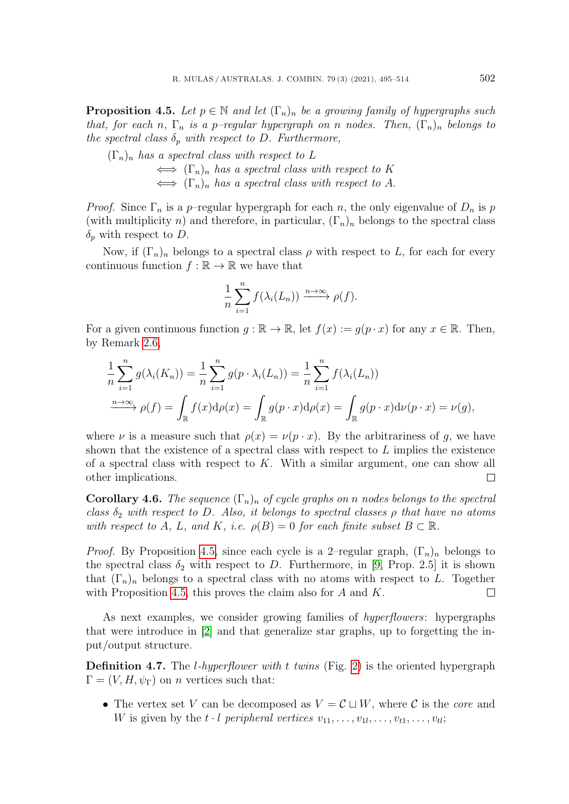<span id="page-7-0"></span>**Proposition 4.5.** Let  $p \in \mathbb{N}$  and let  $(\Gamma_n)_n$  be a growing family of hypergraphs such that, for each n,  $\Gamma_n$  is a p-regular hypergraph on n nodes. Then,  $(\Gamma_n)_n$  belongs to the spectral class  $\delta_p$  with respect to D. Furthermore,

$$
(\Gamma_n)_n \text{ has a spectral class with respect to } L
$$
  

$$
\iff (\Gamma_n)_n \text{ has a spectral class with respect to } K
$$
  

$$
\iff (\Gamma_n)_n \text{ has a spectral class with respect to } A.
$$

*Proof.* Since  $\Gamma_n$  is a p-regular hypergraph for each n, the only eigenvalue of  $D_n$  is p (with multiplicity n) and therefore, in particular,  $(\Gamma_n)_n$  belongs to the spectral class  $\delta_p$  with respect to D.

Now, if  $(\Gamma_n)_n$  belongs to a spectral class  $\rho$  with respect to L, for each for every continuous function  $f : \mathbb{R} \to \mathbb{R}$  we have that

$$
\frac{1}{n}\sum_{i=1}^n f(\lambda_i(L_n)) \xrightarrow{n\to\infty} \rho(f).
$$

For a given continuous function  $q : \mathbb{R} \to \mathbb{R}$ , let  $f(x) := q(p \cdot x)$  for any  $x \in \mathbb{R}$ . Then, by Remark [2.6,](#page-3-2)

$$
\frac{1}{n}\sum_{i=1}^{n}g(\lambda_i(K_n)) = \frac{1}{n}\sum_{i=1}^{n}g(p\cdot\lambda_i(L_n)) = \frac{1}{n}\sum_{i=1}^{n}f(\lambda_i(L_n))
$$
  

$$
\xrightarrow{n\to\infty} \rho(f) = \int_{\mathbb{R}}f(x)d\rho(x) = \int_{\mathbb{R}}g(p\cdot x)d\rho(x) = \int_{\mathbb{R}}g(p\cdot x)d\nu(p\cdot x) = \nu(g),
$$

where  $\nu$  is a measure such that  $\rho(x) = \nu(p \cdot x)$ . By the arbitrariness of q, we have shown that the existence of a spectral class with respect to  $L$  implies the existence of a spectral class with respect to  $K$ . With a similar argument, one can show all other implications.  $\Box$ 

<span id="page-7-1"></span>**Corollary 4.6.** The sequence  $(\Gamma_n)_n$  of cycle graphs on n nodes belongs to the spectral class  $\delta_2$  with respect to D. Also, it belongs to spectral classes  $\rho$  that have no atoms with respect to A, L, and K, i.e.  $\rho(B) = 0$  for each finite subset  $B \subset \mathbb{R}$ .

*Proof.* By Proposition [4.5,](#page-7-0) since each cycle is a 2-regular graph,  $(\Gamma_n)_n$  belongs to the spectral class  $\delta_2$  with respect to D. Furthermore, in [\[9,](#page-18-1) Prop. 2.5] it is shown that  $(\Gamma_n)_n$  belongs to a spectral class with no atoms with respect to L. Together with Proposition [4.5,](#page-7-0) this proves the claim also for  $A$  and  $K$ .  $\Box$ 

As next examples, we consider growing families of hyperflowers: hypergraphs that were introduce in [\[2\]](#page-18-6) and that generalize star graphs, up to forgetting the input/output structure.

**Definition 4.7.** The *l*-hyperflower with t twins (Fig. [2\)](#page-8-0) is the oriented hypergraph  $\Gamma = (V, H, \psi_{\Gamma})$  on *n* vertices such that:

• The vertex set V can be decomposed as  $V = \mathcal{C} \sqcup W$ , where C is the core and W is given by the  $t \cdot l$  peripheral vertices  $v_{11}, \ldots, v_{1l}, \ldots, v_{t1}, \ldots, v_{tl}$ ;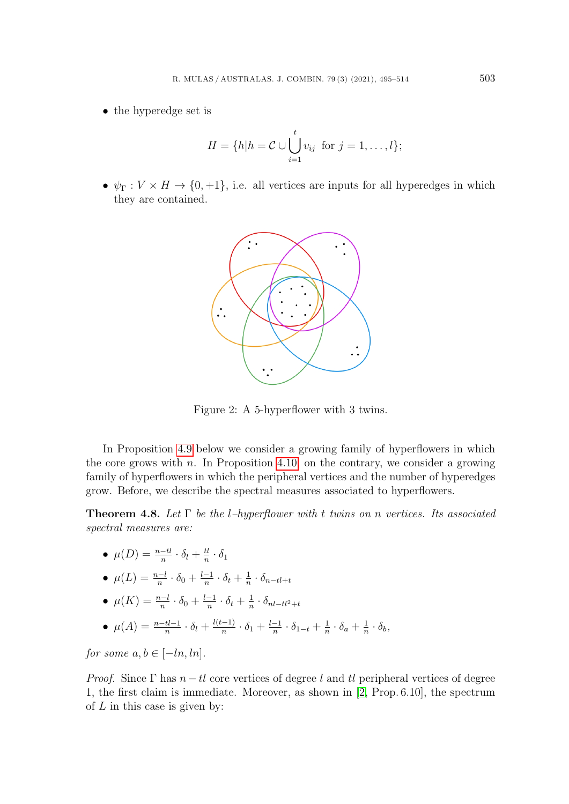• the hyperedge set is

$$
H = \{h | h = \mathcal{C} \cup \bigcup_{i=1}^{t} v_{ij} \text{ for } j = 1, \ldots, l\};
$$

•  $\psi_{\Gamma}: V \times H \to \{0, +1\}$ , i.e. all vertices are inputs for all hyperedges in which they are contained.



<span id="page-8-0"></span>Figure 2: A 5-hyperflower with 3 twins.

In Proposition [4.9](#page-10-0) below we consider a growing family of hyperflowers in which the core grows with  $n$ . In Proposition [4.10,](#page-10-1) on the contrary, we consider a growing family of hyperflowers in which the peripheral vertices and the number of hyperedges grow. Before, we describe the spectral measures associated to hyperflowers.

<span id="page-8-1"></span>**Theorem 4.8.** Let  $\Gamma$  be the l-hyperflower with t twins on n vertices. Its associated spectral measures are:

 $\bullet \ \mu(D) = \frac{n - tl}{n} \cdot \delta_l + \frac{tl}{n}$  $\frac{t l}{n} \cdot \delta_1$ 

• 
$$
\mu(L) = \frac{n-l}{n} \cdot \delta_0 + \frac{l-1}{n} \cdot \delta_t + \frac{1}{n} \cdot \delta_{n-l} + \epsilon
$$

- $\mu(K) = \frac{n-l}{n} \cdot \delta_0 + \frac{l-1}{n}$  $\frac{-1}{n} \cdot \delta_t + \frac{1}{n}$  $\frac{1}{n} \cdot \delta_{nl-tl^2+t}$
- $\mu(A) = \frac{n-tl-1}{n} \cdot \delta_l + \frac{l(t-1)}{n}$  $\frac{-1)}{n} \cdot \delta_1 + \frac{l-1}{n}$  $\frac{-1}{n} \cdot \delta_{1-t} + \frac{1}{n}$  $\frac{1}{n} \cdot \delta_a + \frac{1}{n}$  $\frac{1}{n} \cdot \delta_b$ ,

for some  $a, b \in [-ln, ln]$ .

*Proof.* Since  $\Gamma$  has  $n - tl$  core vertices of degree l and tl peripheral vertices of degree 1, the first claim is immediate. Moreover, as shown in [\[2,](#page-18-6) Prop. 6.10], the spectrum of  $L$  in this case is given by: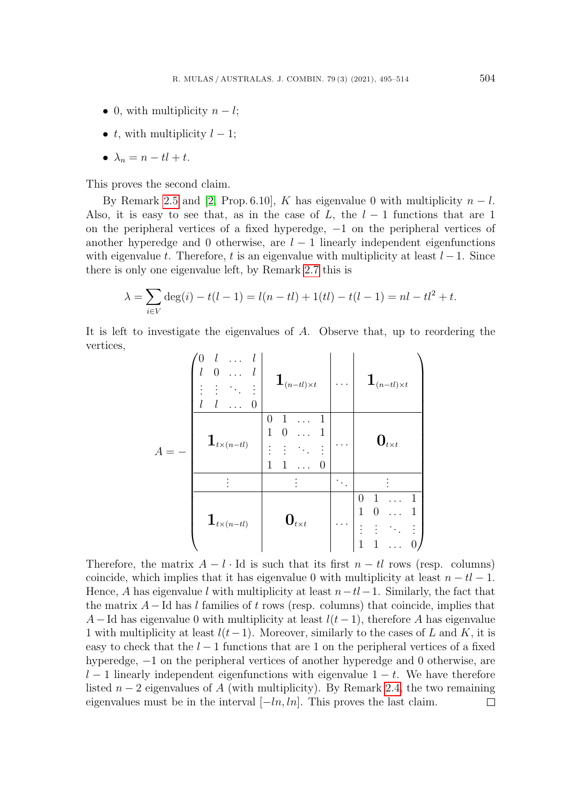- 0, with multiplicity  $n l$ ;
- t, with multiplicity  $l-1$ ;
- $\lambda_n = n tl + t$ .

This proves the second claim.

By Remark [2.5](#page-3-3) and [\[2,](#page-18-6) Prop. 6.10], K has eigenvalue 0 with multiplicity  $n - l$ . Also, it is easy to see that, as in the case of L, the  $l-1$  functions that are 1 on the peripheral vertices of a fixed hyperedge, −1 on the peripheral vertices of another hyperedge and 0 otherwise, are  $l - 1$  linearly independent eigenfunctions with eigenvalue t. Therefore, t is an eigenvalue with multiplicity at least  $l-1$ . Since there is only one eigenvalue left, by Remark [2.7](#page-3-4) this is

$$
\lambda = \sum_{i \in V} \deg(i) - t(l-1) = l(n - tl) + 1(tl) - t(l-1) = nl - tl^2 + t.
$$

It is left to investigate the eigenvalues of A. Observe that, up to reordering the vertices,

| $\overline{A}$ | l<br>0<br>l<br>0               | $\mathbf{1}_{(n-tl)\times t}$                                                                  | . | $\mathbf{1}_{(n-tl)\times t}$           |
|----------------|--------------------------------|------------------------------------------------------------------------------------------------|---|-----------------------------------------|
|                | $\mathbf{1}_{t\times (n-tl)}$  | $\mathbf{1}$<br>$\mathbf{1}$<br>$\overline{0}$<br>$\mathbf{1}$<br>$\theta$<br>1<br>1<br>1<br>0 |   | $\mathbf{0}_{t \times t}$               |
|                |                                |                                                                                                |   |                                         |
|                | $\mathbf{1}_{t \times (n-tl)}$ | $\mathbf{0}_{t \times t}$                                                                      |   | $\mathbf{1}$<br>0<br>1<br>1<br>$\theta$ |

Therefore, the matrix  $A - l \cdot \text{Id}$  is such that its first  $n - tl$  rows (resp. columns) coincide, which implies that it has eigenvalue 0 with multiplicity at least  $n - tl - 1$ . Hence, A has eigenvalue l with multiplicity at least  $n-tl-1$ . Similarly, the fact that the matrix  $A - Id$  has l families of t rows (resp. columns) that coincide, implies that A – Id has eigenvalue 0 with multiplicity at least  $l(t-1)$ , therefore A has eigenvalue 1 with multiplicity at least  $l(t-1)$ . Moreover, similarly to the cases of L and K, it is easy to check that the  $l-1$  functions that are 1 on the peripheral vertices of a fixed hyperedge, −1 on the peripheral vertices of another hyperedge and 0 otherwise, are  $l-1$  linearly independent eigenfunctions with eigenvalue  $1-t$ . We have therefore listed  $n-2$  eigenvalues of A (with multiplicity). By Remark [2.4,](#page-3-1) the two remaining eigenvalues must be in the interval  $[-ln, ln]$ . This proves the last claim.  $\Box$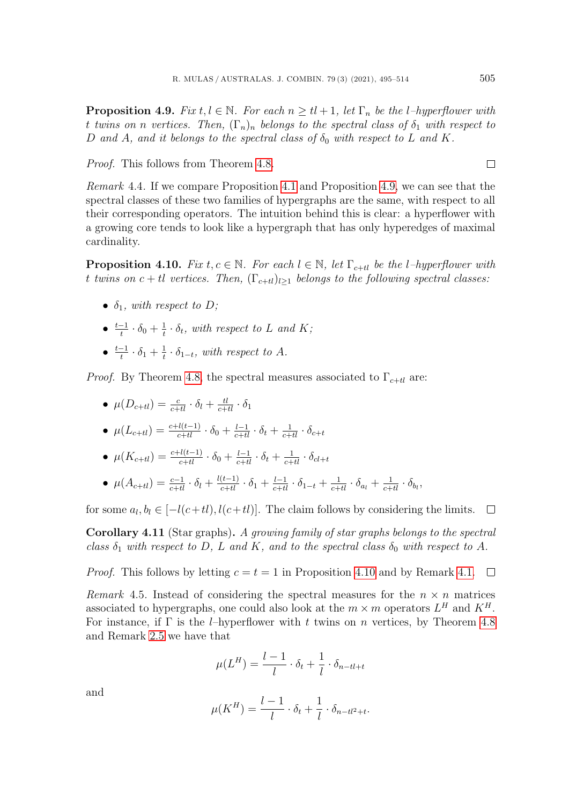<span id="page-10-0"></span>**Proposition 4.9.** Fix  $t, l \in \mathbb{N}$ . For each  $n > t$  + 1, let  $\Gamma_n$  be the l-hyperflower with t twins on n vertices. Then,  $(\Gamma_n)_n$  belongs to the spectral class of  $\delta_1$  with respect to D and A, and it belongs to the spectral class of  $\delta_0$  with respect to L and K.

Proof. This follows from Theorem [4.8.](#page-8-1)

Remark 4.4. If we compare Proposition [4.1](#page-4-2) and Proposition [4.9,](#page-10-0) we can see that the spectral classes of these two families of hypergraphs are the same, with respect to all their corresponding operators. The intuition behind this is clear: a hyperflower with a growing core tends to look like a hypergraph that has only hyperedges of maximal cardinality.

<span id="page-10-1"></span>**Proposition 4.10.** Fix  $t, c \in \mathbb{N}$ . For each  $l \in \mathbb{N}$ , let  $\Gamma_{c+tl}$  be the l-hyperflower with t twins on  $c + tl$  vertices. Then,  $(\Gamma_{c+tl})_{l>1}$  belongs to the following spectral classes:

- $\delta_1$ , with respect to D;
- $\bullet$   $\frac{t-1}{t}$  $\frac{-1}{t} \cdot \delta_0 + \frac{1}{t}$  $\frac{1}{t} \cdot \delta_t$ , with respect to L and K;
- $\bullet$   $\frac{t-1}{t}$  $\frac{-1}{t} \cdot \delta_1 + \frac{1}{t}$  $\frac{1}{t} \cdot \delta_{1-t}$ , with respect to A.

*Proof.* By Theorem [4.8,](#page-8-1) the spectral measures associated to  $\Gamma_{c+tl}$  are:

- $\bullet$   $\mu(D_{c+tl}) = \frac{c}{c+tl} \cdot \delta_l + \frac{tl}{c+tl} \cdot \delta_1$
- $μ(L_{c+tl}) = \frac{c + l(t-1)}{c + tl} \cdot \delta_0 + \frac{l-1}{c + tl} \cdot \delta_t + \frac{1}{c + tl} \cdot \delta_{c+t}$
- $μ(K_{c+tl}) = \frac{c + l(t-1)}{c+tl} \cdot \delta_0 + \frac{l-1}{c+tl} \cdot \delta_t + \frac{1}{c+tl} \cdot \delta_{cl+t}$
- $\mu(A_{c+tl}) = \frac{c-1}{c+tl} \cdot \delta_l + \frac{l(t-1)}{c+tl} \cdot \delta_1 + \frac{l-1}{c+tl} \cdot \delta_{1-t} + \frac{1}{c+tl} \cdot \delta_{a_l} + \frac{1}{c+tl} \cdot \delta_{b_l},$

for some  $a_l, b_l \in [-l(c+tl), l(c+tl)]$ . The claim follows by considering the limits.  $\Box$ 

Corollary 4.11 (Star graphs). A growing family of star graphs belongs to the spectral class  $\delta_1$  with respect to D, L and K, and to the spectral class  $\delta_0$  with respect to A.

*Proof.* This follows by letting  $c = t = 1$  in Proposition [4.10](#page-10-1) and by Remark [4.1.](#page-5-1)  $\Box$ 

Remark 4.5. Instead of considering the spectral measures for the  $n \times n$  matrices associated to hypergraphs, one could also look at the  $m \times m$  operators  $L^H$  and  $K^H$ . For instance, if  $\Gamma$  is the *l*–hyperflower with t twins on n vertices, by Theorem [4.8](#page-8-1) and Remark [2.5](#page-3-3) we have that

$$
\mu(L^H) = \frac{l-1}{l} \cdot \delta_t + \frac{1}{l} \cdot \delta_{n-tl+t}
$$

and

$$
\mu(K^H) = \frac{l-1}{l} \cdot \delta_t + \frac{1}{l} \cdot \delta_{n-tl^2+t}.
$$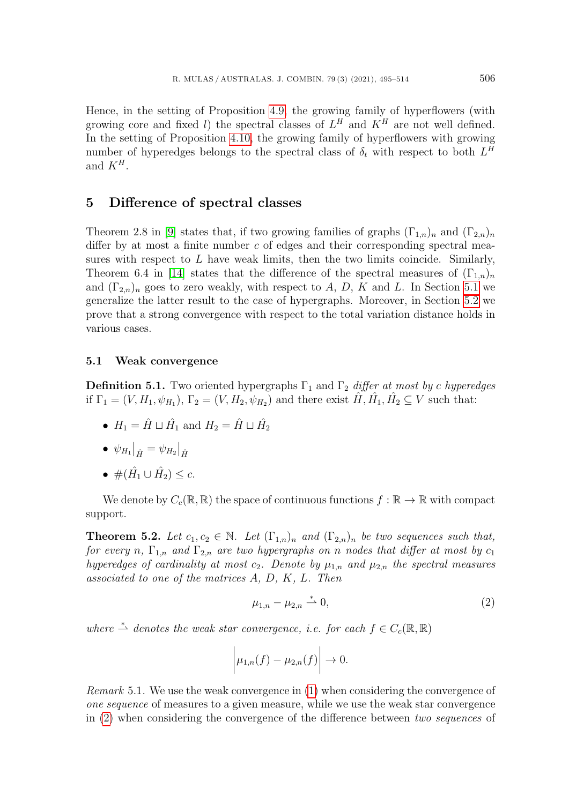Hence, in the setting of Proposition [4.9,](#page-10-0) the growing family of hyperflowers (with growing core and fixed l) the spectral classes of  $L^H$  and  $K^H$  are not well defined. In the setting of Proposition [4.10,](#page-10-1) the growing family of hyperflowers with growing number of hyperedges belongs to the spectral class of  $\delta_t$  with respect to both  $L^H$ and  $K^H$ .

#### <span id="page-11-0"></span>5 Difference of spectral classes

Theorem 2.8 in [\[9\]](#page-18-1) states that, if two growing families of graphs  $(\Gamma_{1,n})_n$  and  $(\Gamma_{2,n})_n$ differ by at most a finite number  $c$  of edges and their corresponding spectral measures with respect to  $L$  have weak limits, then the two limits coincide. Similarly, Theorem 6.4 in [\[14\]](#page-18-3) states that the difference of the spectral measures of  $(\Gamma_{1,n})_n$ and  $(\Gamma_{2n})_n$  goes to zero weakly, with respect to A, D, K and L. In Section [5.1](#page-11-1) we generalize the latter result to the case of hypergraphs. Moreover, in Section [5.2](#page-15-0) we prove that a strong convergence with respect to the total variation distance holds in various cases.

#### <span id="page-11-1"></span>5.1 Weak convergence

**Definition 5.1.** Two oriented hypergraphs  $\Gamma_1$  and  $\Gamma_2$  differ at most by c hyperedges if  $\Gamma_1 = (V, H_1, \psi_{H_1}), \Gamma_2 = (V, H_2, \psi_{H_2})$  and there exist  $\hat{H}, \hat{H}_1, \hat{H}_2 \subseteq V$  such that:

- $H_1 = \hat{H} \sqcup \hat{H}_1$  and  $H_2 = \hat{H} \sqcup \hat{H}_2$
- $\bullet \psi_{H_1}|_{\hat{H}} = \psi_{H_2}|_{\hat{H}}$
- $#(\hat{H}_1 \cup \hat{H}_2) \leq c.$

We denote by  $C_c(\mathbb{R}, \mathbb{R})$  the space of continuous functions  $f : \mathbb{R} \to \mathbb{R}$  with compact support.

<span id="page-11-3"></span>**Theorem 5.2.** Let  $c_1, c_2 \in \mathbb{N}$ . Let  $(\Gamma_{1,n})_n$  and  $(\Gamma_{2,n})_n$  be two sequences such that, for every n,  $\Gamma_{1,n}$  and  $\Gamma_{2,n}$  are two hypergraphs on n nodes that differ at most by  $c_1$ hyperedges of cardinality at most  $c_2$ . Denote by  $\mu_{1,n}$  and  $\mu_{2,n}$  the spectral measures associated to one of the matrices A, D, K, L. Then

<span id="page-11-2"></span>
$$
\mu_{1,n} - \mu_{2,n} \stackrel{*}{\rightharpoonup} 0,\tag{2}
$$

where  $\stackrel{*}{\rightharpoonup}$  denotes the weak star convergence, i.e. for each  $f \in C_c(\mathbb{R}, \mathbb{R})$ 

$$
\left|\mu_{1,n}(f)-\mu_{2,n}(f)\right|\to 0.
$$

Remark 5.1. We use the weak convergence in [\(1\)](#page-4-1) when considering the convergence of one sequence of measures to a given measure, while we use the weak star convergence in [\(2\)](#page-11-2) when considering the convergence of the difference between two sequences of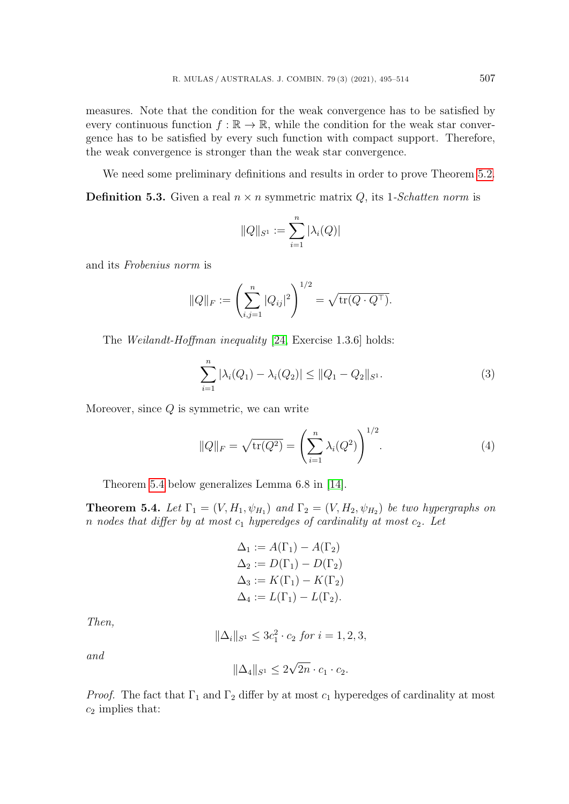measures. Note that the condition for the weak convergence has to be satisfied by every continuous function  $f : \mathbb{R} \to \mathbb{R}$ , while the condition for the weak star convergence has to be satisfied by every such function with compact support. Therefore, the weak convergence is stronger than the weak star convergence.

We need some preliminary definitions and results in order to prove Theorem [5.2.](#page-11-3)

**Definition 5.3.** Given a real  $n \times n$  symmetric matrix Q, its 1-Schatten norm is

$$
||Q||_{S^1} := \sum_{i=1}^n |\lambda_i(Q)|
$$

and its Frobenius norm is

$$
||Q||_F := \left(\sum_{i,j=1}^n |Q_{ij}|^2\right)^{1/2} = \sqrt{\text{tr}(Q \cdot Q^{\top})}.
$$

The Weilandt-Hoffman inequality [\[24,](#page-19-5) Exercise 1.3.6] holds:

$$
\sum_{i=1}^{n} |\lambda_i(Q_1) - \lambda_i(Q_2)| \le ||Q_1 - Q_2||_{S^1}.
$$
\n(3)

Moreover, since  $Q$  is symmetric, we can write

<span id="page-12-1"></span>
$$
||Q||_F = \sqrt{\text{tr}(Q^2)} = \left(\sum_{i=1}^n \lambda_i(Q^2)\right)^{1/2}.
$$
 (4)

Theorem [5.4](#page-12-0) below generalizes Lemma 6.8 in [\[14\]](#page-18-3).

<span id="page-12-0"></span>**Theorem 5.4.** Let  $\Gamma_1 = (V, H_1, \psi_{H_1})$  and  $\Gamma_2 = (V, H_2, \psi_{H_2})$  be two hypergraphs on n nodes that differ by at most  $c_1$  hyperedges of cardinality at most  $c_2$ . Let

$$
\Delta_1 := A(\Gamma_1) - A(\Gamma_2)
$$
  
\n
$$
\Delta_2 := D(\Gamma_1) - D(\Gamma_2)
$$
  
\n
$$
\Delta_3 := K(\Gamma_1) - K(\Gamma_2)
$$
  
\n
$$
\Delta_4 := L(\Gamma_1) - L(\Gamma_2).
$$

Then,

$$
\|\Delta_i\|_{S^1} \le 3c_1^2 \cdot c_2 \text{ for } i = 1, 2, 3,
$$

and

$$
\|\Delta_4\|_{S^1} \le 2\sqrt{2n} \cdot c_1 \cdot c_2.
$$

*Proof.* The fact that  $\Gamma_1$  and  $\Gamma_2$  differ by at most  $c_1$  hyperedges of cardinality at most  $c_2$  implies that: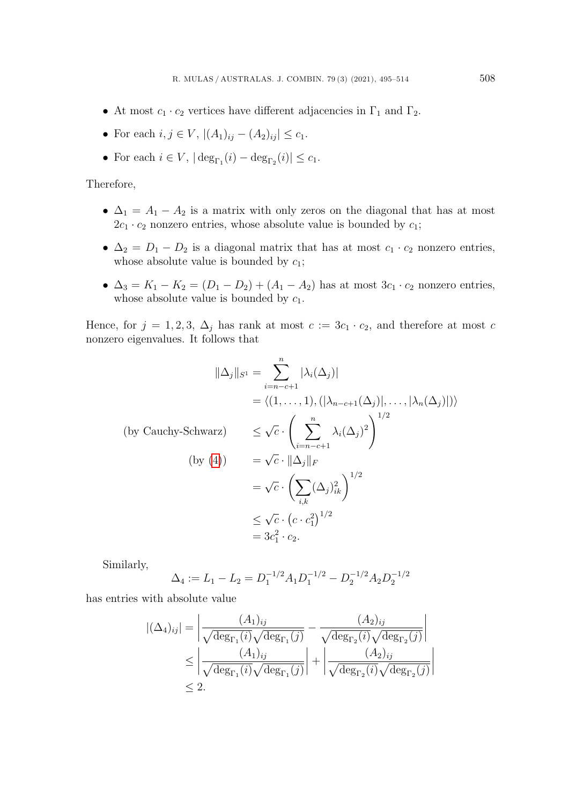- At most  $c_1 \cdot c_2$  vertices have different adjacencies in  $\Gamma_1$  and  $\Gamma_2$ .
- For each  $i, j \in V$ ,  $|(A_1)_{ij} (A_2)_{ij}| \leq c_1$ .
- For each  $i \in V$ ,  $|\deg_{\Gamma_1}(i) \deg_{\Gamma_2}(i)| \leq c_1$ .

Therefore,

- $\Delta_1 = A_1 A_2$  is a matrix with only zeros on the diagonal that has at most  $2c_1 \cdot c_2$  nonzero entries, whose absolute value is bounded by  $c_1$ ;
- $\Delta_2 = D_1 D_2$  is a diagonal matrix that has at most  $c_1 \cdot c_2$  nonzero entries, whose absolute value is bounded by  $c_1$ ;
- $\Delta_3 = K_1 K_2 = (D_1 D_2) + (A_1 A_2)$  has at most  $3c_1 \cdot c_2$  nonzero entries, whose absolute value is bounded by  $c_1$ .

Hence, for  $j = 1, 2, 3, \Delta_j$  has rank at most  $c := 3c_1 \cdot c_2$ , and therefore at most c nonzero eigenvalues. It follows that

$$
\|\Delta_j\|_{S^1} = \sum_{i=n-c+1}^n |\lambda_i(\Delta_j)|
$$
  
\n
$$
= \langle (1, ..., 1), (|\lambda_{n-c+1}(\Delta_j)|, ..., |\lambda_n(\Delta_j)|) \rangle
$$
  
\n(by Cauchy-Schwarz) 
$$
\leq \sqrt{c} \cdot \left( \sum_{i=n-c+1}^n \lambda_i(\Delta_j)^2 \right)^{1/2}
$$
  
\n(by (4)) 
$$
= \sqrt{c} \cdot \|\Delta_j\|_F
$$
  
\n
$$
= \sqrt{c} \cdot \left( \sum_{i,k} (\Delta_j)_{ik}^2 \right)^{1/2}
$$
  
\n
$$
\leq \sqrt{c} \cdot (c \cdot c_1^2)^{1/2}
$$
  
\n
$$
= 3c_1^2 \cdot c_2.
$$

Similarly,

$$
\Delta_4 := L_1 - L_2 = D_1^{-1/2} A_1 D_1^{-1/2} - D_2^{-1/2} A_2 D_2^{-1/2}
$$

has entries with absolute value

$$
|(\Delta_4)_{ij}| = \left| \frac{(A_1)_{ij}}{\sqrt{\deg_{\Gamma_1}(i)}\sqrt{\deg_{\Gamma_1}(j)}} - \frac{(A_2)_{ij}}{\sqrt{\deg_{\Gamma_2}(i)}\sqrt{\deg_{\Gamma_2}(j)}} \right|
$$
  
\n
$$
\leq \left| \frac{(A_1)_{ij}}{\sqrt{\deg_{\Gamma_1}(i)}\sqrt{\deg_{\Gamma_1}(j)}} \right| + \left| \frac{(A_2)_{ij}}{\sqrt{\deg_{\Gamma_2}(i)}\sqrt{\deg_{\Gamma_2}(j)}} \right|
$$
  
\n
$$
\leq 2.
$$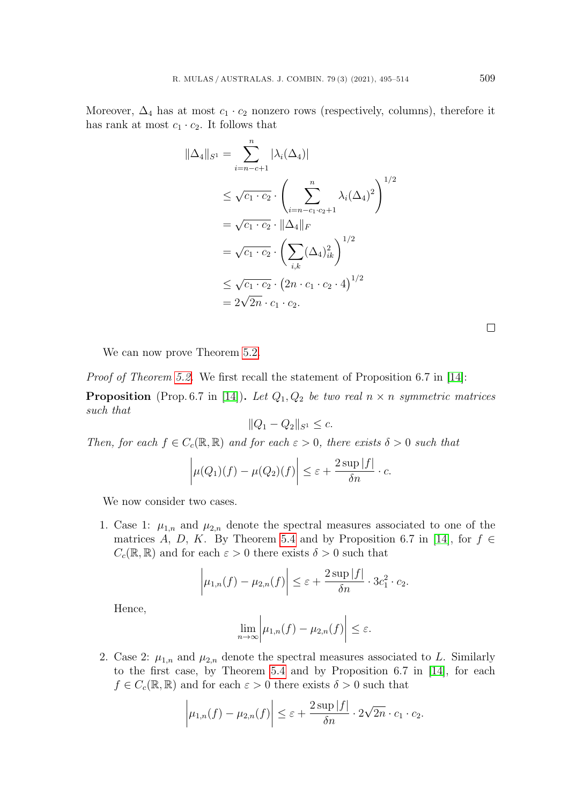Moreover,  $\Delta_4$  has at most  $c_1 \cdot c_2$  nonzero rows (respectively, columns), therefore it has rank at most  $c_1 \cdot c_2$ . It follows that

$$
\|\Delta_4\|_{S^1} = \sum_{i=n-c+1}^n |\lambda_i(\Delta_4)|
$$
  
\n
$$
\leq \sqrt{c_1 \cdot c_2} \cdot \left(\sum_{i=n-c_1 \cdot c_2+1}^n \lambda_i(\Delta_4)^2\right)^{1/2}
$$
  
\n
$$
= \sqrt{c_1 \cdot c_2} \cdot \|\Delta_4\|_F
$$
  
\n
$$
= \sqrt{c_1 \cdot c_2} \cdot \left(\sum_{i,k} (\Delta_4)_{ik}^2\right)^{1/2}
$$
  
\n
$$
\leq \sqrt{c_1 \cdot c_2} \cdot (2n \cdot c_1 \cdot c_2 \cdot 4)^{1/2}
$$
  
\n
$$
= 2\sqrt{2n} \cdot c_1 \cdot c_2.
$$

 $\Box$ 

We can now prove Theorem [5.2.](#page-11-3)

Proof of Theorem [5.2.](#page-11-3) We first recall the statement of Proposition 6.7 in [\[14\]](#page-18-3):

**Proposition** (Prop. 6.7 in [\[14\]](#page-18-3)). Let  $Q_1, Q_2$  be two real  $n \times n$  symmetric matrices such that

$$
||Q_1 - Q_2||_{S^1} \le c.
$$

Then, for each  $f \in C_c(\mathbb{R}, \mathbb{R})$  and for each  $\varepsilon > 0$ , there exists  $\delta > 0$  such that

$$
\left|\mu(Q_1)(f) - \mu(Q_2)(f)\right| \leq \varepsilon + \frac{2 \sup|f|}{\delta n} \cdot c.
$$

We now consider two cases.

1. Case 1:  $\mu_{1,n}$  and  $\mu_{2,n}$  denote the spectral measures associated to one of the matrices A, D, K. By Theorem [5.4](#page-12-0) and by Proposition 6.7 in [\[14\]](#page-18-3), for  $f \in$  $C_c(\mathbb{R}, \mathbb{R})$  and for each  $\varepsilon > 0$  there exists  $\delta > 0$  such that

$$
\left|\mu_{1,n}(f) - \mu_{2,n}(f)\right| \leq \varepsilon + \frac{2 \sup|f|}{\delta n} \cdot 3c_1^2 \cdot c_2.
$$

Hence,

$$
\lim_{n\to\infty}\bigg|\mu_{1,n}(f)-\mu_{2,n}(f)\bigg|\leq\varepsilon.
$$

2. Case 2:  $\mu_{1,n}$  and  $\mu_{2,n}$  denote the spectral measures associated to L. Similarly to the first case, by Theorem [5.4](#page-12-0) and by Proposition 6.7 in [\[14\]](#page-18-3), for each  $f \in C_c(\mathbb{R}, \mathbb{R})$  and for each  $\varepsilon > 0$  there exists  $\delta > 0$  such that

$$
\left|\mu_{1,n}(f) - \mu_{2,n}(f)\right| \leq \varepsilon + \frac{2 \sup|f|}{\delta n} \cdot 2\sqrt{2n} \cdot c_1 \cdot c_2.
$$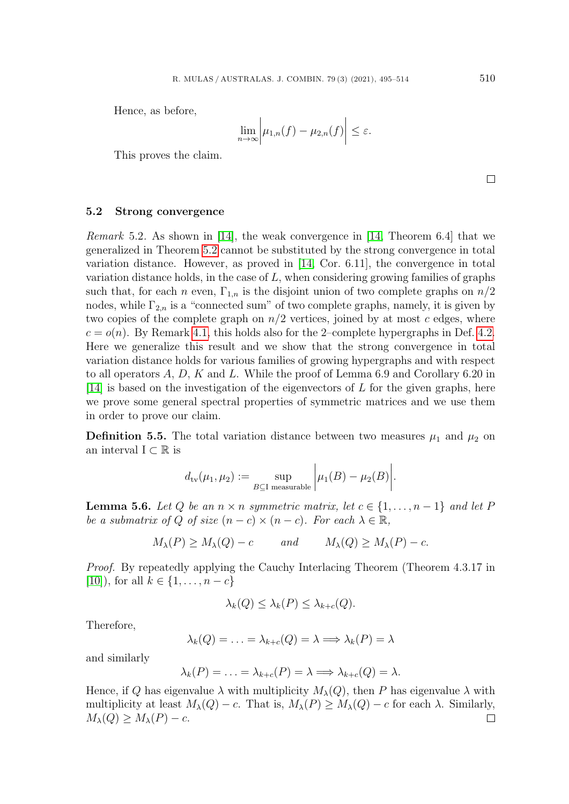Hence, as before,

$$
\lim_{n\to\infty}\bigg|\mu_{1,n}(f)-\mu_{2,n}(f)\bigg|\leq\varepsilon.
$$

This proves the claim.

 $\Box$ 

#### <span id="page-15-0"></span>5.2 Strong convergence

Remark 5.2. As shown in [\[14\]](#page-18-3), the weak convergence in [\[14,](#page-18-3) Theorem 6.4] that we generalized in Theorem [5.2](#page-11-3) cannot be substituted by the strong convergence in total variation distance. However, as proved in [\[14,](#page-18-3) Cor. 6.11], the convergence in total variation distance holds, in the case of  $L$ , when considering growing families of graphs such that, for each n even,  $\Gamma_{1,n}$  is the disjoint union of two complete graphs on  $n/2$ nodes, while  $\Gamma_{2,n}$  is a "connected sum" of two complete graphs, namely, it is given by two copies of the complete graph on  $n/2$  vertices, joined by at most c edges, where  $c = o(n)$ . By Remark [4.1,](#page-5-1) this holds also for the 2-complete hypergraphs in Def. [4.2.](#page-5-2) Here we generalize this result and we show that the strong convergence in total variation distance holds for various families of growing hypergraphs and with respect to all operators  $A, D, K$  and  $L$ . While the proof of Lemma 6.9 and Corollary 6.20 in [\[14\]](#page-18-3) is based on the investigation of the eigenvectors of  $L$  for the given graphs, here we prove some general spectral properties of symmetric matrices and we use them in order to prove our claim.

**Definition 5.5.** The total variation distance between two measures  $\mu_1$  and  $\mu_2$  on an interval  $I \subset \mathbb{R}$  is

$$
d_{\text{tv}}(\mu_1, \mu_2) := \sup_{B \subseteq \text{I measurable}} \left| \mu_1(B) - \mu_2(B) \right|.
$$

<span id="page-15-1"></span>**Lemma 5.6.** Let Q be an  $n \times n$  symmetric matrix, let  $c \in \{1, ..., n-1\}$  and let P be a submatrix of Q of size  $(n-c) \times (n-c)$ . For each  $\lambda \in \mathbb{R}$ ,

$$
M_{\lambda}(P) \ge M_{\lambda}(Q) - c
$$
 and  $M_{\lambda}(Q) \ge M_{\lambda}(P) - c$ .

Proof. By repeatedly applying the Cauchy Interlacing Theorem (Theorem 4.3.17 in [\[10\]](#page-18-14)), for all  $k \in \{1, ..., n - c\}$ 

$$
\lambda_k(Q) \leq \lambda_k(P) \leq \lambda_{k+c}(Q).
$$

Therefore,

$$
\lambda_k(Q) = \ldots = \lambda_{k+c}(Q) = \lambda \Longrightarrow \lambda_k(P) = \lambda
$$

and similarly

$$
\lambda_k(P) = \ldots = \lambda_{k+c}(P) = \lambda \Longrightarrow \lambda_{k+c}(Q) = \lambda.
$$

Hence, if Q has eigenvalue  $\lambda$  with multiplicity  $M_{\lambda}(Q)$ , then P has eigenvalue  $\lambda$  with multiplicity at least  $M_{\lambda}(Q) - c$ . That is,  $M_{\lambda}(P) \geq M_{\lambda}(Q) - c$  for each  $\lambda$ . Similarly,  $M_{\lambda}(Q) \geq M_{\lambda}(P) - c.$  $\Box$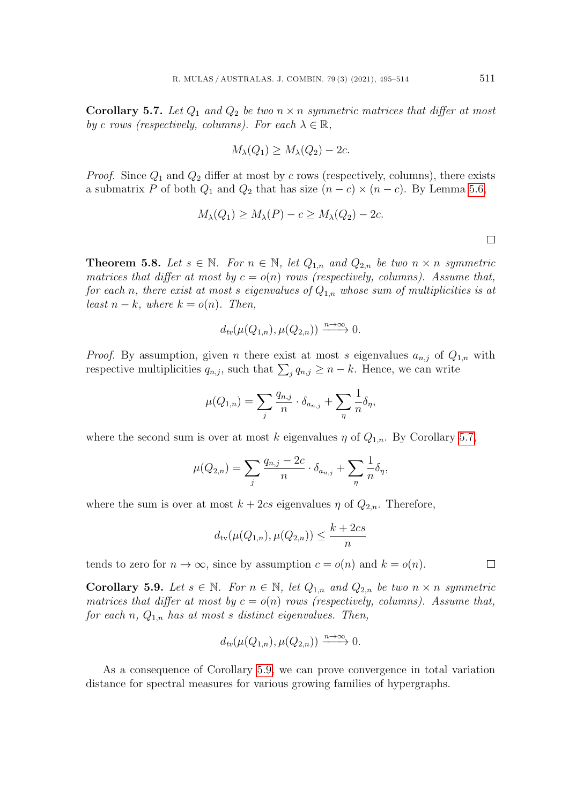<span id="page-16-0"></span>**Corollary 5.7.** Let  $Q_1$  and  $Q_2$  be two  $n \times n$  symmetric matrices that differ at most by c rows (respectively, columns). For each  $\lambda \in \mathbb{R}$ ,

$$
M_{\lambda}(Q_1) \ge M_{\lambda}(Q_2) - 2c.
$$

*Proof.* Since  $Q_1$  and  $Q_2$  differ at most by c rows (respectively, columns), there exists a submatrix P of both  $Q_1$  and  $Q_2$  that has size  $(n - c) \times (n - c)$ . By Lemma [5.6,](#page-15-1)

$$
M_{\lambda}(Q_1) \ge M_{\lambda}(P) - c \ge M_{\lambda}(Q_2) - 2c.
$$

**Theorem 5.8.** Let  $s \in \mathbb{N}$ . For  $n \in \mathbb{N}$ , let  $Q_{1,n}$  and  $Q_{2,n}$  be two  $n \times n$  symmetric matrices that differ at most by  $c = o(n)$  rows (respectively, columns). Assume that, for each n, there exist at most s eigenvalues of  $Q_{1,n}$  whose sum of multiplicities is at least  $n - k$ , where  $k = o(n)$ . Then,

$$
d_{tv}(\mu(Q_{1,n}), \mu(Q_{2,n})) \xrightarrow{n \to \infty} 0.
$$

*Proof.* By assumption, given *n* there exist at most *s* eigenvalues  $a_{n,j}$  of  $Q_{1,n}$  with respective multiplicities  $q_{n,j}$ , such that  $\sum_{j} q_{n,j} \geq n-k$ . Hence, we can write

$$
\mu(Q_{1,n}) = \sum_j \frac{q_{n,j}}{n} \cdot \delta_{a_{n,j}} + \sum_n \frac{1}{n} \delta_n,
$$

where the second sum is over at most k eigenvalues  $\eta$  of  $Q_{1,n}$ . By Corollary [5.7,](#page-16-0)

$$
\mu(Q_{2,n}) = \sum_j \frac{q_{n,j} - 2c}{n} \cdot \delta_{a_{n,j}} + \sum_j \frac{1}{n} \delta_{\eta},
$$

where the sum is over at most  $k + 2cs$  eigenvalues  $\eta$  of  $Q_{2,n}$ . Therefore,

$$
d_{\text{tv}}(\mu(Q_{1,n}), \mu(Q_{2,n})) \le \frac{k + 2cs}{n}
$$

tends to zero for  $n \to \infty$ , since by assumption  $c = o(n)$  and  $k = o(n)$ .

<span id="page-16-1"></span>**Corollary 5.9.** Let  $s \in \mathbb{N}$ . For  $n \in \mathbb{N}$ , let  $Q_{1,n}$  and  $Q_{2,n}$  be two  $n \times n$  symmetric matrices that differ at most by  $c = o(n)$  rows (respectively, columns). Assume that, for each n,  $Q_{1,n}$  has at most s distinct eigenvalues. Then,

$$
d_{tv}(\mu(Q_{1,n}), \mu(Q_{2,n})) \xrightarrow{n \to \infty} 0.
$$

As a consequence of Corollary [5.9,](#page-16-1) we can prove convergence in total variation distance for spectral measures for various growing families of hypergraphs.

 $\Box$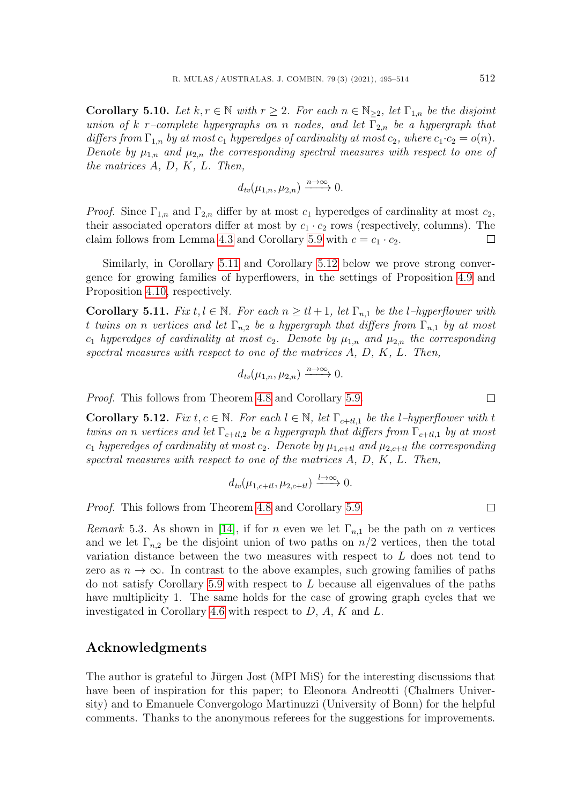**Corollary 5.10.** Let  $k, r \in \mathbb{N}$  with  $r \geq 2$ . For each  $n \in \mathbb{N}_{\geq 2}$ , let  $\Gamma_{1,n}$  be the disjoint union of k r–complete hypergraphs on n nodes, and let  $\Gamma_{2,n}$  be a hypergraph that differs from  $\Gamma_{1,n}$  by at most  $c_1$  hyperedges of cardinality at most  $c_2$ , where  $c_1 \cdot c_2 = o(n)$ . Denote by  $\mu_{1,n}$  and  $\mu_{2,n}$  the corresponding spectral measures with respect to one of the matrices A, D, K, L. Then,

$$
d_{tv}(\mu_{1,n}, \mu_{2,n}) \xrightarrow{n \to \infty} 0.
$$

*Proof.* Since  $\Gamma_{1,n}$  and  $\Gamma_{2,n}$  differ by at most  $c_1$  hyperedges of cardinality at most  $c_2$ , their associated operators differ at most by  $c_1 \cdot c_2$  rows (respectively, columns). The claim follows from Lemma [4.3](#page-5-0) and Corollary [5.9](#page-16-1) with  $c = c_1 \cdot c_2$ .  $\Box$ 

Similarly, in Corollary [5.11](#page-17-0) and Corollary [5.12](#page-17-1) below we prove strong convergence for growing families of hyperflowers, in the settings of Proposition [4.9](#page-10-0) and Proposition [4.10,](#page-10-1) respectively.

<span id="page-17-0"></span>**Corollary 5.11.** Fix  $t, l \in \mathbb{N}$ . For each  $n \geq t$  + 1, let  $\Gamma_{n,1}$  be the l-hyperflower with t twins on n vertices and let  $\Gamma_{n,2}$  be a hypergraph that differs from  $\Gamma_{n,1}$  by at most  $c_1$  hyperedges of cardinality at most  $c_2$ . Denote by  $\mu_{1,n}$  and  $\mu_{2,n}$  the corresponding spectral measures with respect to one of the matrices A, D, K, L. Then,

$$
d_{tv}(\mu_{1,n}, \mu_{2,n}) \xrightarrow{n \to \infty} 0.
$$

Proof. This follows from Theorem [4.8](#page-8-1) and Corollary [5.9.](#page-16-1)

<span id="page-17-1"></span>**Corollary 5.12.** Fix  $t, c \in \mathbb{N}$ . For each  $l \in \mathbb{N}$ , let  $\Gamma_{c+tl,1}$  be the l-hyperflower with t twins on n vertices and let  $\Gamma_{c+tl,2}$  be a hypergraph that differs from  $\Gamma_{c+tl,1}$  by at most  $c_1$  hyperedges of cardinality at most  $c_2$ . Denote by  $\mu_{1,c+tl}$  and  $\mu_{2,c+tl}$  the corresponding spectral measures with respect to one of the matrices  $A, D, K, L$ . Then,

$$
d_{tv}(\mu_{1,c+tl}, \mu_{2,c+tl}) \xrightarrow{l \to \infty} 0.
$$

Proof. This follows from Theorem [4.8](#page-8-1) and Corollary [5.9.](#page-16-1)

Remark 5.3. As shown in [\[14\]](#page-18-3), if for n even we let  $\Gamma_{n,1}$  be the path on n vertices and we let  $\Gamma_{n,2}$  be the disjoint union of two paths on  $n/2$  vertices, then the total variation distance between the two measures with respect to L does not tend to zero as  $n \to \infty$ . In contrast to the above examples, such growing families of paths do not satisfy Corollary [5.9](#page-16-1) with respect to L because all eigenvalues of the paths have multiplicity 1. The same holds for the case of growing graph cycles that we investigated in Corollary [4.6](#page-7-1) with respect to D, A, K and L.

## Acknowledgments

The author is grateful to Jürgen Jost (MPI MiS) for the interesting discussions that have been of inspiration for this paper; to Eleonora Andreotti (Chalmers University) and to Emanuele Convergologo Martinuzzi (University of Bonn) for the helpful comments. Thanks to the anonymous referees for the suggestions for improvements.

 $\Box$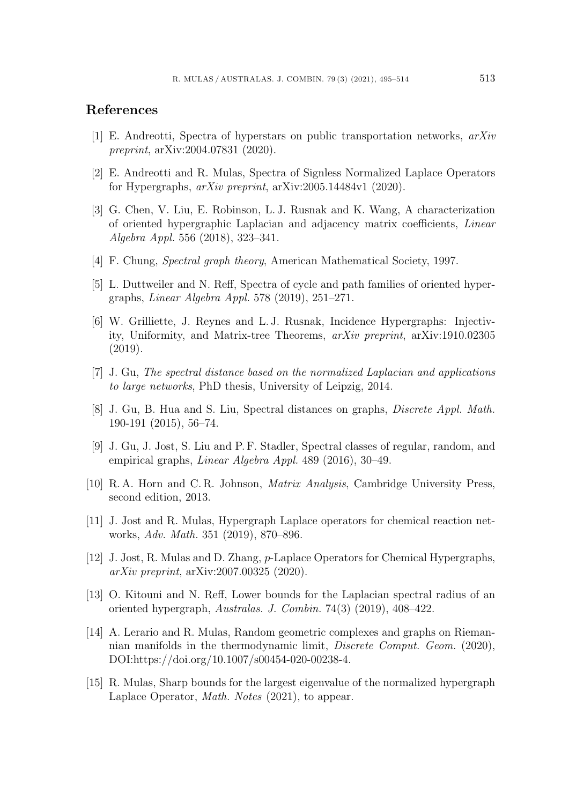## References

- <span id="page-18-8"></span>[1] E. Andreotti, Spectra of hyperstars on public transportation networks, arXiv preprint, arXiv:2004.07831 (2020).
- <span id="page-18-6"></span>[2] E. Andreotti and R. Mulas, Spectra of Signless Normalized Laplace Operators for Hypergraphs, arXiv preprint, arXiv:2005.14484v1 (2020).
- <span id="page-18-9"></span>[3] G. Chen, V. Liu, E. Robinson, L. J. Rusnak and K. Wang, A characterization of oriented hypergraphic Laplacian and adjacency matrix coefficients, Linear Algebra Appl. 556 (2018), 323–341.
- <span id="page-18-13"></span>[4] F. Chung, Spectral graph theory, American Mathematical Society, 1997.
- <span id="page-18-10"></span>[5] L. Duttweiler and N. Reff, Spectra of cycle and path families of oriented hypergraphs, Linear Algebra Appl. 578 (2019), 251–271.
- <span id="page-18-11"></span>[6] W. Grilliette, J. Reynes and L. J. Rusnak, Incidence Hypergraphs: Injectivity, Uniformity, and Matrix-tree Theorems, arXiv preprint, arXiv:1910.02305 (2019).
- <span id="page-18-0"></span>[7] J. Gu, The spectral distance based on the normalized Laplacian and applications to large networks, PhD thesis, University of Leipzig, 2014.
- <span id="page-18-2"></span>[8] J. Gu, B. Hua and S. Liu, Spectral distances on graphs, Discrete Appl. Math. 190-191 (2015), 56–74.
- <span id="page-18-1"></span>[9] J. Gu, J. Jost, S. Liu and P. F. Stadler, Spectral classes of regular, random, and empirical graphs, Linear Algebra Appl. 489 (2016), 30–49.
- <span id="page-18-14"></span>[10] R. A. Horn and C. R. Johnson, Matrix Analysis, Cambridge University Press, second edition, 2013.
- <span id="page-18-4"></span>[11] J. Jost and R. Mulas, Hypergraph Laplace operators for chemical reaction networks, Adv. Math. 351 (2019), 870–896.
- <span id="page-18-7"></span>[12] J. Jost, R. Mulas and D. Zhang, p-Laplace Operators for Chemical Hypergraphs, arXiv preprint, arXiv:2007.00325 (2020).
- <span id="page-18-12"></span>[13] O. Kitouni and N. Reff, Lower bounds for the Laplacian spectral radius of an oriented hypergraph, Australas. J. Combin. 74(3) (2019), 408–422.
- <span id="page-18-3"></span>[14] A. Lerario and R. Mulas, Random geometric complexes and graphs on Riemannian manifolds in the thermodynamic limit, Discrete Comput. Geom. (2020), DOI:https://doi.org/10.1007/s00454-020-00238-4.
- <span id="page-18-5"></span>[15] R. Mulas, Sharp bounds for the largest eigenvalue of the normalized hypergraph Laplace Operator, Math. Notes (2021), to appear.